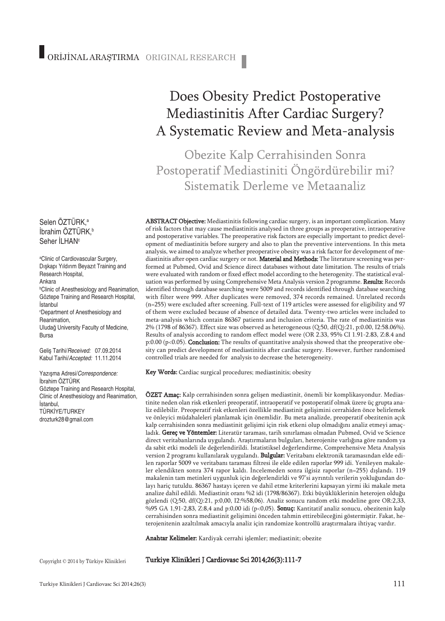#### Selen OZTURK,ª İbrahim ÖZTÜRK, b Seher İLHAN<sup>c</sup>

a Clinic of Cardiovascular Surgery, Dışkapı Yıldırım Beyazıt Training and Research Hospital, Ankara b Clinic of Anesthesiology and Reanimation, Göztepe Training and Research Hospital, İstanbul c Department of Anesthesiology and Reanimation, Uludağ University Faculty of Medicine, Bursa Geliş Tarihi/*Received:* 07.09.2014 Kabul Tarihi/*Accepted:* 11.11.2014

Yazışma Adresi/*Correspondence:* İbrahim ÖZTÜRK Göztepe Training and Research Hospital, Clinic of Anesthesiology and Reanimation, İstanbul, TÜRKİYE/TURKEY drozturk28@gmail.com

# Does Obesity Predict Postoperative Mediastinitis After Cardiac Surgery? A Systematic Review and Meta-analysis

Obezite Kalp Cerrahisinden Sonra Postoperatif Mediastiniti Öngördürebilir mi? Sistematik Derleme ve Metaanaliz

ABSTRACT Objective: Mediastinitis following cardiac surgery, is an important complication. Many of risk factors that may cause mediastinitis analysed in three groups as preoperative, intraoperative and postoperative variables. The preoperative risk factors are especially important to predict development of mediastinitis before surgery and also to plan the preventive interventions. In this meta analysis, we aimed to analyze whether preoperative obesity was a risk factor for development of mediastinitis after open cardiac surgery or not. Material and Methods: The literature screening was performed at Pubmed, Ovid and Science direct databases without date limitation. The results of trials were evaluated with random or fixed effect model according to the heterogenity. The statistical evaluation was performed by using Comprehensive Meta Analysis version 2 programme. Results: Records identified through database searching were 5009 and records identified through database searching with filter were 999. After duplicates were removed, 374 records remained. Unrelated records (n=255) were excluded after screening. Full-text of 119 articles were assessed for eligibility and 97 of them were excluded because of absence of detailed data. Twenty-two articles were included to meta-analysis which contain 86367 patients and inclusion criteria. The rate of mediastinitis was 2% (1798 of 86367). Effect size was observed as heterogeneous (Q:50, df(Q):21, p:0.00, I2:58.06%). Results of analysis according to random effect model were (OR 2.33, 95% CI 1.91-2.83, Z:8.4 and p:0.00 (p<0.05). Conclusion: The results of quantitative analysis showed that the preoperative obesity can predict development of mediastinitis after cardiac surgery. However, further randomised controlled trials are needed for analysis to decrease the heterogeneity.

Key Words: Cardiac surgical procedures; mediastinitis; obesity

ÖZET Amaç: Kalp cerrahisinden sonra gelişen mediastinit, önemli bir komplikasyondur. Mediastinite neden olan risk etkenleri preoperatif, intraoperatif ve postoperatif olmak üzere üç grupta analiz edilebilir. Preoperatif risk etkenleri özellikle mediastinit gelişimini cerrahiden önce belirlemek ve önleyici müdahaleleri planlamak için önemlidir. Bu meta analizde, preoperatif obezitenin açık kalp cerrahisinden sonra mediastinit gelişimi için risk etkeni olup olmadığını analiz etmeyi amaçladık. Gereç ve Yöntemler: Literatür taraması, tarih sınırlaması olmadan Pubmed, Ovid ve Science direct veritabanlarında uygulandı. Araştırmaların bulguları, heterojenite varlığına göre random ya da sabit etki modeli ile değerlendirildi. İstatistiksel değerlendirme, Comprehensive Meta Analysis version 2 programı kullanılarak uygulandı. Bulgular: Veritabanı elektronik taramasından elde edilen raporlar 5009 ve veritabanı taraması filtresi ile elde edilen raporlar 999 idi. Yenileyen makaleler elendikten sonra 374 rapor kaldı. İncelemeden sonra ilgisiz raporlar (n=255) dışlandı. 119 makalenin tam metinleri uygunluk için değerlendirldi ve 97'si ayrıntılı verilerin yokluğundan dolayı hariç tutuldu. 86367 hastayı içeren ve dahil etme kriterlerini kapsayan yirmi iki makale meta analize dahil edildi. Mediastinit oranı %2 idi (1798/86367). Etki büyüklüklerinin heterojen olduğu gözlendi (Q:50, df(Q):21, p:0,00, I2:%58,06). Analiz sonucu random etki modeline gore OR:2,33, %95 GA 1,91-2,83, Z:8,4 and p:0,00 idi (p<0,05). **Sonuç:** Kantitatif analiz sonucu, obezitenin kalp cerrahisinden sonra mediastinit gelişimini önceden tahmin ettirebileceğini göstermiştir. Fakat, heterojenitenin azaltılmak amacıyla analiz için randomize kontrollü araştırmalara ihtiyaç vardır.

Anahtar Kelimeler: Kardiyak cerrahi işlemler; mediastinit; obezite

Copyright © 2014 by Türkiye Klinikleri

Turkiye Klinikleri J Cardiovasc Sci 2014;26(3):111-7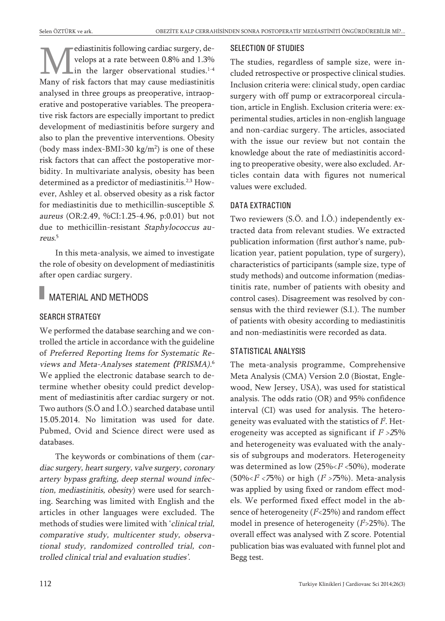ediastinitis following cardiac surgery, develops at a rate between 0.8% and 1.3% in the larger observational studies. 1-4 Many of risk factors that may cause mediastinitis analysed in three groups as preoperative, intraoperative and postoperative variables. The preoperative risk factors are especially important to predict development of mediastinitis before surgery and also to plan the preventive interventions. Obesity (body mass index-BMI>30  $\text{kg/m}^2$ ) is one of these risk factors that can affect the postoperative morbidity. In multivariate analysis, obesity has been determined as a predictor of mediastinitis. 2,3 However, Ashley et al. observed obesity as a risk factor for mediastinitis due to methicillin-susceptible S. aureus (OR:2.49, %CI:1.25-4.96, p:0.01) but not due to methicillin-resistant Staphylococcus aureus. 5

In this meta-analysis, we aimed to investigate the role of obesity on development of mediastinitis after open cardiac surgery.

### MATERIAL AND METHODS

#### SEARCH STRATEGY

We performed the database searching and we controlled the article in accordance with the guideline of Preferred Reporting Items for Systematic Reviews and Meta-Analyses statement (PRISMA). 6 We applied the electronic database search to determine whether obesity could predict development of mediastinitis after cardiac surgery or not. Two authors (S.Ö and İ.Ö.) searched database until 15.05.2014. No limitation was used for date. Pubmed, Ovid and Science direct were used as databases.

The keywords or combinations of them (cardiac surgery, heart surgery, valve surgery, coronary artery bypass grafting, deep sternal wound infection, mediastinitis, obesity) were used for searching. Searching was limited with English and the articles in other languages were excluded. The methods of studies were limited with 'clinical trial, comparative study, multicenter study, observational study, randomized controlled trial, controlled clinical trial and evaluation studies'.

#### SELECTION OF STUDIES

The studies, regardless of sample size, were included retrospective or prospective clinical studies. Inclusion criteria were: clinical study, open cardiac surgery with off pump or extracorporeal circulation, article in English. Exclusion criteria were: experimental studies, articles in non-english language and non-cardiac surgery. The articles, associated with the issue our review but not contain the knowledge about the rate of mediastinitis according to preoperative obesity, were also excluded. Articles contain data with figures not numerical values were excluded.

#### DATA EXTRACTION

Two reviewers (S.Ö. and İ.Ö.) independently extracted data from relevant studies. We extracted publication information (first author's name, publication year, patient population, type of surgery), characteristics of participants (sample size, type of study methods) and outcome information (mediastinitis rate, number of patients with obesity and control cases). Disagreement was resolved by consensus with the third reviewer (S.I.). The number of patients with obesity according to mediastinitis and non-mediastinitis were recorded as data.

#### STATISTICAL ANALYSIS

The meta-analysis programme, Comprehensive Meta Analysis (CMA) Version 2.0 (Biostat, Englewood, New Jersey, USA), was used for statistical analysis. The odds ratio (OR) and 95% confidence interval (CI) was used for analysis. The heterogeneity was evaluated with the statistics of  $I^2$ . Heterogeneity was accepted as significant if  $I^2$  >25% and heterogeneity was evaluated with the analysis of subgroups and moderators. Heterogeneity was determined as low  $(25\% \leq I^2 \leq 50\%)$ , moderate (50%<*I<sup>2</sup> <7*5%) or high (*I<sup>2</sup> >7*5%). Meta-analysis was applied by using fixed or random effect models. We performed fixed effect model in the absence of heterogeneity (*I*°<**25**%) and random effect model in presence of heterogeneity (*I*°>25%). The overall effect was analysed with <sup>Z</sup> score. Potential publication bias was evaluated with funnel plot and Begg test.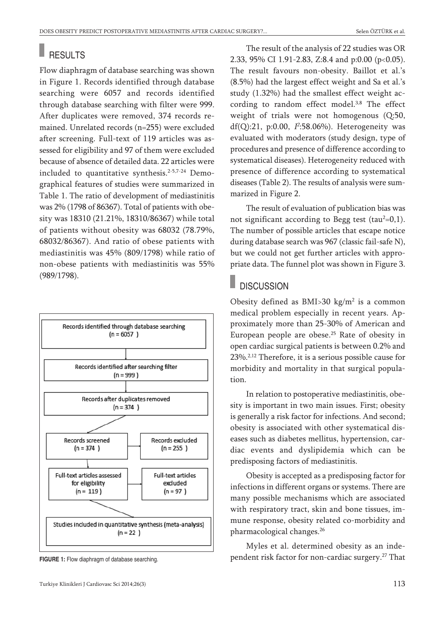# **RESULTS**

Flow diaphragm of database searching was shown in Figure 1. Records identified through database searching were 6057 and records identified through database searching with filter were 999. After duplicates were removed, 374 records remained. Unrelated records (n=255) were excluded after screening. Full-text of 119 articles was assessed for eligibility and 97 of them were excluded because of absence of detailed data. 22 articles were included to quantitative synthesis. 2-5,7-24 Demographical features of studies were summarized in Table 1. The ratio of development of mediastinitis was 2% (1798 of 86367). Total of patients with obesity was 18310 (21.21%, 18310/86367) while total of patients without obesity was 68032 (78.79%, 68032/86367). And ratio of obese patients with mediastinitis was 45% (809/1798) while ratio of non-obese patients with mediastinitis was 55% (989/1798).



**FIGURE 1:** Flow diaphragm of database searching.

The result of the analysis of 22 studies was OR 2.33, 95% CI 1.91-2.83, Z:8.4 and p:0.00 (p<0.05). The result favours non-obesity. Baillot et al.'s (8.5%) had the largest effect weight and Sa et al.'s study (1.32%) had the smallest effect weight according to random effect model. 3,8 The effect weight of trials were not homogenous (Q:50, df(Q):21, p:0.00,  $I^2$ :58.06%). Heterogeneity was evaluated with moderators (study design, type of procedures and presence of difference according to systematical diseases). Heterogeneity reduced with presence of difference according to systematical diseases (Table 2). The results of analysis were summarized in Figure 2.

The result of evaluation of publication bias was not significant according to Begg test (tau $2=0,1$ ). The number of possible articles that escape notice during database search was 967 (classic fail-safe N), but we could not get further articles with appropriate data. The funnel plot was shown in Figure 3.

### **DISCUSSION**

Obesity defined as  $BMI > 30$  kg/m<sup>2</sup> is a common medical problem especially in recent years. Approximately more than 25-30% of American and European people are obese. <sup>25</sup> Rate of obesity in open cardiac surgical patients is between 0.2% and 23%.<sup>2,12</sup> Therefore, it is a serious possible cause for morbidity and mortality in that surgical population.

In relation to postoperative mediastinitis, obesity is important in two main issues. First; obesity is generally a risk factor for infections. And second; obesity is associated with other systematical diseases such as diabetes mellitus, hypertension, cardiac events and dyslipidemia which can be predisposing factors of mediastinitis.

Obesity is accepted as a predisposing factor for infections in different organs or systems. There are many possible mechanisms which are associated with respiratory tract, skin and bone tissues, immune response, obesity related co-morbidity and pharmacological changes. 26

Myles et al. determined obesity as an independent risk factor for non-cardiac surgery. <sup>27</sup> That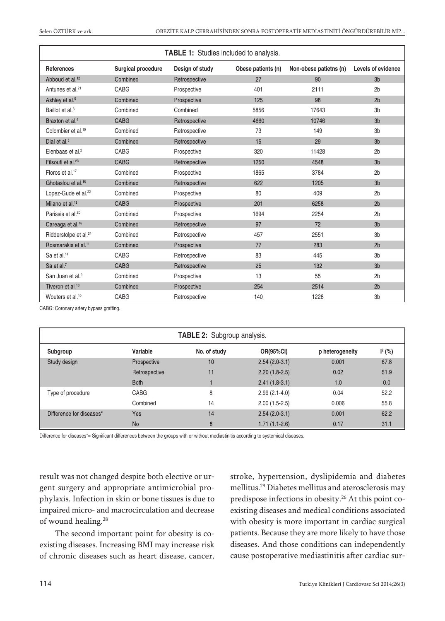| <b>TABLE 1:</b> Studies included to analysis. |                    |                 |                    |                        |                    |  |  |  |  |
|-----------------------------------------------|--------------------|-----------------|--------------------|------------------------|--------------------|--|--|--|--|
| <b>References</b>                             | Surgical procedure | Design of study | Obese patients (n) | Non-obese patietns (n) | Levels of evidence |  |  |  |  |
| Abboud et al. <sup>12</sup>                   | Combined           | Retrospective   | 27                 | 90                     | 3 <sub>b</sub>     |  |  |  |  |
| Antunes et al. <sup>21</sup>                  | <b>CABG</b>        | Prospective     | 401                | 2111                   | 2 <sub>b</sub>     |  |  |  |  |
| Ashley et al. <sup>5</sup>                    | Combined           | Prospective     | 125                | 98                     | 2 <sub>b</sub>     |  |  |  |  |
| Baillot et al. <sup>3</sup>                   | Combined           | Combined        | 5856               | 17643                  | 3 <sub>b</sub>     |  |  |  |  |
| Braxton et al. <sup>4</sup>                   | <b>CABG</b>        | Retrospective   | 4660               | 10746                  | 3 <sub>b</sub>     |  |  |  |  |
| Colombier et al. <sup>19</sup>                | Combined           | Retrospective   | 73                 | 149                    | 3 <sub>b</sub>     |  |  |  |  |
| Dial et al. <sup>8</sup>                      | Combined           | Retrospective   | 15                 | 29                     | 3 <sub>b</sub>     |  |  |  |  |
| Elenbaas et al. <sup>2</sup>                  | CABG               | Prospective     | 320                | 11428                  | 2 <sub>b</sub>     |  |  |  |  |
| Filsoufi et al. <sup>23</sup>                 | <b>CABG</b>        | Retrospective   | 1250               | 4548                   | 3 <sub>b</sub>     |  |  |  |  |
| Floros et al. <sup>17</sup>                   | Combined           | Prospective     | 1865               | 3784                   | 2 <sub>b</sub>     |  |  |  |  |
| Ghotaslou et al. <sup>15</sup>                | Combined           | Retrospective   | 622                | 1205                   | 3 <sub>b</sub>     |  |  |  |  |
| Lopez-Gude et al. <sup>22</sup>               | Combined           | Prospective     | 80                 | 409                    | 2 <sub>b</sub>     |  |  |  |  |
| Milano et al. <sup>18</sup>                   | <b>CABG</b>        | Prospective     | 201                | 6258                   | 2 <sub>b</sub>     |  |  |  |  |
| Parissis et al. <sup>20</sup>                 | Combined           | Prospective     | 1694               | 2254                   | 2 <sub>b</sub>     |  |  |  |  |
| Careaga et al. <sup>16</sup>                  | Combined           | Retrospective   | 97                 | 72                     | 3 <sub>b</sub>     |  |  |  |  |
| Ridderstolpe et al. <sup>24</sup>             | Combined           | Retrospective   | 457                | 2551                   | 3 <sub>b</sub>     |  |  |  |  |
| Rosmarakis et al. <sup>11</sup>               | Combined           | Prospective     | 77                 | 283                    | 2 <sub>b</sub>     |  |  |  |  |
| Sa et al. <sup>14</sup>                       | <b>CABG</b>        | Retrospective   | 83                 | 445                    | 3 <sub>b</sub>     |  |  |  |  |
| Sa et al. <sup>7</sup>                        | <b>CABG</b>        | Retrospective   | 25                 | 132                    | 3 <sub>b</sub>     |  |  |  |  |
| San Juan et al. <sup>9</sup>                  | Combined           | Prospective     | 13                 | 55                     | 2 <sub>b</sub>     |  |  |  |  |
| Tiveron et al. <sup>13</sup>                  | Combined           | Prospective     | 254                | 2514                   | 2 <sub>b</sub>     |  |  |  |  |
| Wouters et al. <sup>10</sup>                  | CABG               | Retrospective   | 140                | 1228                   | 3 <sub>b</sub>     |  |  |  |  |

CABG: Coronary artery bypass grafting.

| <b>TABLE 2:</b> Subgroup analysis. |               |              |                  |                 |                    |  |  |  |  |
|------------------------------------|---------------|--------------|------------------|-----------------|--------------------|--|--|--|--|
| Subgroup                           | Variable      | No. of study | <b>OR(95%CI)</b> | p heterogeneity | $\mathsf{I}^2$ (%) |  |  |  |  |
| Study design                       | Prospective   | 10           | $2.54(2.0-3.1)$  | 0.001           | 67.8               |  |  |  |  |
|                                    | Retrospective | 11           | $2.20(1.8-2.5)$  | 0.02            | 51.9               |  |  |  |  |
|                                    | <b>Both</b>   |              | $2.41(1.8-3.1)$  | 1.0             | 0.0                |  |  |  |  |
| Type of procedure                  | CABG          | 8            | $2.99(2.1-4.0)$  | 0.04            | 52.2               |  |  |  |  |
|                                    | Combined      | 14           | $2.00(1.5-2.5)$  | 0.006           | 55.8               |  |  |  |  |
| Difference for diseases*           | Yes           | 14           | $2.54(2.0-3.1)$  | 0.001           | 62.2               |  |  |  |  |
|                                    | <b>No</b>     | 8            | $1.71(1.1-2.6)$  | 0.17            | 31.1               |  |  |  |  |

Difference for diseases\*= Significant differences between the groups with or without mediastinitis according to systemical diseases.

result was not changed despite both elective or urgent surgery and appropriate antimicrobial prophylaxis. Infection in skin or bone tissues is due to impaired micro- and macrocirculation and decrease of wound healing. 28

The second important point for obesity is coexisting diseases. Increasing BMI may increase risk of chronic diseases such as heart disease, cancer, stroke, hypertension, dyslipidemia and diabetes mellitus. <sup>29</sup> Diabetes mellitus and aterosclerosis may predispose infections in obesity. <sup>26</sup> At this point coexisting diseases and medical conditions associated with obesity is more important in cardiac surgical patients. Because they are more likely to have those diseases. And those conditions can independently cause postoperative mediastinitis after cardiac sur-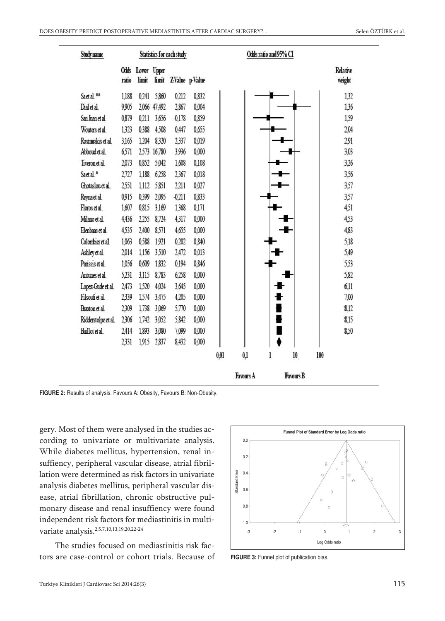| <b>Study name</b>    | Statistics for each study |                           |              |                      | Odds ratio and 95% CI |      |           |   |                  |     |                    |  |
|----------------------|---------------------------|---------------------------|--------------|----------------------|-----------------------|------|-----------|---|------------------|-----|--------------------|--|
|                      | ratio                     | Odds Lower Upper<br>limit |              | limit ZValue p-Value |                       |      |           |   |                  |     | Relative<br>weight |  |
| Saetal <sup>**</sup> | 1.188                     |                           | 0.241 5.860  | 0,212                | 0,832                 |      |           |   |                  |     | 132                |  |
| Dial et al.          | 9905                      |                           | 2,066 47,492 | 2,867                | 0,004                 |      |           |   |                  |     | 136                |  |
| San Juan et al.      | 0.879                     |                           | 0.211 3,656  | $-0,178$             | 0,859                 |      |           |   |                  |     | 1,59               |  |
| Wouters et al.       | 1323                      | 0.388                     | 4,508        | 0,447                | 0,655                 |      |           |   |                  |     | 2.04               |  |
| Rosnarakis et al.    | 3.165                     | 1,204                     | 8320         | 2337                 | 0,019                 |      |           |   |                  |     | 291                |  |
| Abboud et al.        | 6571                      |                           | 2,573 16,780 | 3.936                | 0,000                 |      |           |   |                  |     | 3,03               |  |
| Tiveron et al.       | 2,073                     | 0,852                     | 5,042        | 1,608                | 0,108                 |      |           |   |                  |     | 326                |  |
| Saet al.*            | 2,727                     | 1.188                     | 6258         | 2367                 | 0.018                 |      |           |   |                  |     | 3.56               |  |
| Ghotaslou et al.     | 2551                      | 1.112                     | 5,851        | 2,211                | 0,027                 |      |           |   |                  |     | 357                |  |
| Reynaet al.          | 0915                      | 0.399                     | 2.095        | $-0.211$             | 0,833                 |      |           |   |                  |     | 357                |  |
| Floros et al.        | 1.607                     | 0.815                     | 3,169        | 1,368                | 0,171                 |      |           |   |                  |     | 4,51               |  |
| Milano et al.        | 4,436                     | 2,255                     | 8,724        | 4317                 | 0,000                 |      |           |   |                  |     | 453                |  |
| Elenbaas et al.      | 4535                      | 2,400                     | 8571         | 4,655                | 0,000                 |      |           |   |                  |     | 4,83               |  |
| Colombier et al.     | 1.063                     | 0.588                     | 1921         | 0.202                | 0,840                 |      |           |   |                  |     | 5,18               |  |
| Ashley et al.        | 2014                      | 1,156                     | 3510         | 2,472                | 0,013                 |      |           |   |                  |     | 5,49               |  |
| Panssis et al.       | 1,056                     | 0,609                     | 1,832        | 0,194                | 0,846                 |      |           |   |                  |     | 553                |  |
| Antunes et al.       | 5231                      | 3,115                     | 8,783        | 6,258                | 0,000                 |      |           |   |                  |     | 5,82               |  |
| Lopez-Gude et al.    | 2,473                     | 1,520                     | 4,024        | 3,645                | 0,000                 |      |           |   |                  |     | 6,11               |  |
| Filsouf et al.       | 2339                      | 1,574                     | 3,475        | 4,205                | 0,000                 |      |           |   |                  |     | 7,00               |  |
| Braxton et al.       | 2309                      |                           | 1,738 3,069  | 5,770                | 0,000                 |      |           |   |                  |     | 8,12               |  |
| Ridderstolpe et al.  | 2306                      |                           | 1,742 3,052  | 5,842                | 0,000                 |      |           |   |                  |     | 8.15               |  |
| Baillot et al.       | 2414                      | 1,893                     | 3,080        | 7,099                | 0,000                 |      |           |   |                  |     | 8.50               |  |
|                      | 2331                      |                           | 1,915 2,837  | 8,432                | 0,000                 |      |           |   |                  |     |                    |  |
|                      |                           |                           |              |                      |                       | 0,01 | 0,1       | l | 10               | 100 |                    |  |
|                      |                           |                           |              |                      |                       |      | Favours A |   | <b>Favours B</b> |     |                    |  |

**FIGURE 2:** Results of analysis. Favours A: Obesity, Favours B: Non-Obesity.

gery. Most of them were analysed in the studies according to univariate or multivariate analysis. While diabetes mellitus, hypertension, renal insuffiency, peripheral vascular disease, atrial fibrillation were determined as risk factors in univariate analysis diabetes mellitus, peripheral vascular disease, atrial fibrillation, chronic obstructive pulmonary disease and renal insuffiency were found independent risk factors for mediastinitis in multivariate analysis. 2,5,7,10,13,19,20,22-24

The studies focused on mediastinitis risk factors are case-control or cohort trials. Because of



**FIGURE 3:** Funnel plot of publication bias.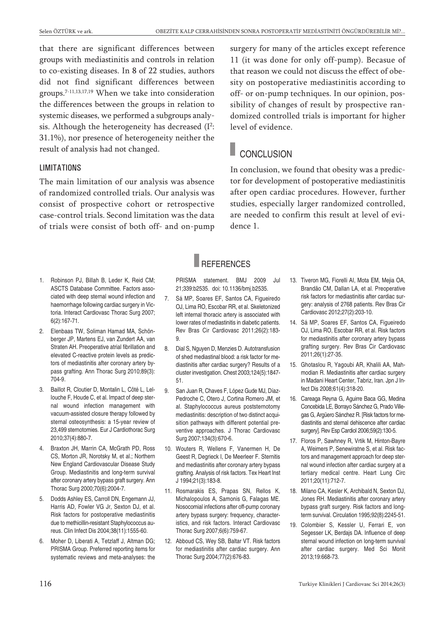that there are significant differences between groups with mediastinitis and controls in relation to co-existing diseases. In 8 of 22 studies, authors did not find significant differences between groups. 7-11,13,17,19 When we take into consideration the differences between the groups in relation to systemic diseases, we performed a subgroups analysis. Although the heterogeneity has decreased  $(I^2$ : 31.1%), nor presence of heterogeneity neither the result of analysis had not changed.

#### **LIMITATIONS**

The main limitation of our analysis was absence of randomized controlled trials. Our analysis was consist of prospective cohort or retrospective case-control trials. Second limitation was the data of trials were consist of both off- and on-pump surgery for many of the articles except reference 11 (it was done for only off-pump). Becasue of that reason we could not discuss the effect of obesity on postoperative mediastinitis according to off- or on-pump techniques. In our opinion, possibility of changes of result by prospective randomized controlled trials is important for higher level of evidence.

# **CONCLUSION**

In conclusion, we found that obesity was a predictor for development of postoperative mediastinitis after open cardiac procedures. However, further studies, especially larger randomized controlled, are needed to confirm this result at level of evidence 1.

## **REFERENCES**

- 1. Robinson PJ, Billah B, Leder K, Reid CM; ASCTS Database Committee. Factors associated with deep sternal wound infection and haemorrhage following cardiac surgery in Victoria. Interact Cardiovasc Thorac Surg 2007; 6(2):167-71.
- 2. Elenbaas TW, Soliman Hamad MA, Schönberger JP, Martens EJ, van Zundert AA, van Straten AH. Preoperative atrial fibrillation and elevated C-reactive protein levels as predictors of mediastinitis after coronary artery bypass grafting. Ann Thorac Surg 2010;89(3): 704-9.
- 3. Baillot R, Cloutier D, Montalin L, Côté L, Lellouche F, Houde C, et al. Impact of deep sternal wound infection management with vacuum-assisted closure therapy followed by sternal osteosynthesis: a 15-year review of 23,499 sternotomies. Eur J Cardiothorac Surg 2010;37(4):880-7.
- 4. Braxton JH, Marrin CA, McGrath PD, Ross CS, Morton JR, Norotsky M, et al.; Northern New England Cardiovascular Disease Study Group. Mediastinitis and long-term survival after coronary artery bypass graft surgery. Ann Thorac Surg 2000;70(6):2004-7.
- 5. Dodds Ashley ES, Carroll DN, Engemann JJ, Harris AD, Fowler VG Jr, Sexton DJ, et al. Risk factors for postoperative mediastinitis due to methicillin-resistant Staphylococcus aureus. Clin Infect Dis 2004;38(11):1555-60.
- 6. Moher D, Liberati A, Tetzlaff J, Altman DG; PRISMA Group. Preferred reporting items for systematic reviews and meta-analyses: the

PRISMA statement. BMJ 2009 Jul 21;339:b2535. doi: 10.1136/bmj.b2535.

- 7. Sá MP, Soares EF, Santos CA, Figueiredo OJ, Lima RO, Escobar RR, et al. Skeletonized left internal thoracic artery is associated with lower rates of mediastinitis in diabetic patients. Rev Bras Cir Cardiovasc 2011;26(2):183- 9.
- 8. Dial S, Nguyen D, Menzies D. Autotransfusion of shed mediastinal blood: a risk factor for mediastinitis after cardiac surgery? Results of a cluster investigation. Chest 2003;124(5):1847- 51.
- 9. San Juan R, Chaves F, López Gude MJ, Díaz-Pedroche C, Otero J, Cortina Romero JM, et al. Staphylococcus aureus poststernotomy mediastinitis: description of two distinct acquisition pathways with different potential preventive approaches. J Thorac Cardiovasc Surg 2007;134(3):670-6.
- 10. Wouters R, Wellens F, Vanermen H, De Geest R, Degrieck I, De Meerleer F. Sternitis and mediastinitis after coronary artery bypass grafting. Analysis of risk factors. Tex Heart Inst J 1994;21(3):183-8.
- 11. Rosmarakis ES, Prapas SN, Rellos K, Michalopoulos A, Samonis G, Falagas ME. Nosocomial infections after off-pump coronary artery bypass surgery: frequency, characteristics, and risk factors. Interact Cardiovasc Thorac Surg 2007;6(6):759-67.
- 12. Abboud CS, Wey SB, Baltar VT. Risk factors for mediastinitis after cardiac surgery. Ann Thorac Surg 2004;77(2):676-83.
- 13. Tiveron MG, Fiorelli AI, Mota EM, Mejia OA, Brandão CM, Dallan LA, et al. Preoperative risk factors for mediastinitis after cardiac surgery: analysis of 2768 patients. Rev Bras Cir Cardiovasc 2012;27(2):203-10.
- 14. Sá MP, Soares EF, Santos CA, Figueiredo OJ, Lima RO, Escobar RR, et al. Risk factors for mediastinitis after coronary artery bypass grafting surgery. Rev Bras Cir Cardiovasc 2011;26(1):27-35.
- 15. Ghotaslou R, Yagoubi AR, Khalili AA, Mahmodian R. Mediastinitis after cardiac surgery in Madani Heart Center, Tabriz, Iran. Jpn J Infect Dis 2008;61(4):318-20.
- 16. Careaga Reyna G, Aguirre Baca GG, Medina Concebida LE, Borrayo Sánchez G, Prado Villegas G, Argüero Sánchez R. [Risk factors formediastinitis and sternal dehiscence after cardiac surgery]. Rev Esp Cardiol 2006;59(2):130-5.
- 17. Floros P, Sawhney R, Vrtik M, Hinton-Bayre A, Weimers P, Senewiratne S, et al. Risk factors and management approach for deep sternal wound infection after cardiac surgery at a tertiary medical centre. Heart Lung Circ 2011;20(11):712-7.
- 18. Milano CA, Kesler K, Archibald N, Sexton DJ, Jones RH. Mediastinitis after coronary artery bypass graft surgery. Risk factors and longterm survival. Circulation 1995;92(8):2245-51.
- 19. Colombier S, Kessler U, Ferrari E, von Segesser LK, Berdajs DA. Influence of deep sternal wound infection on long-term survival after cardiac surgery. Med Sci Monit 2013;19:668-73.